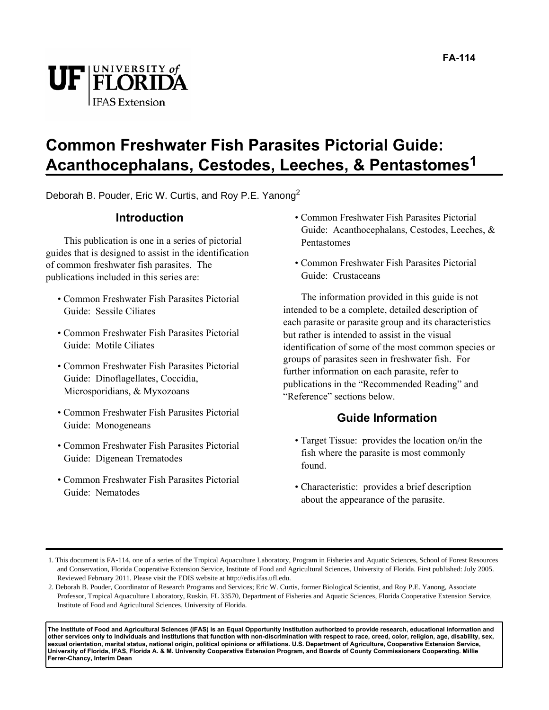



#### **Common Freshwater Fish Parasites Pictorial Guide: Acanthocephalans, Cestodes, Leeches, & Pentastomes1**

Deborah B. Pouder, Eric W. Curtis, and Roy P.E. Yanong<sup>2</sup>

#### **Introduction**

This publication is one in a series of pictorial guides that is designed to assist in the identification of common freshwater fish parasites. The publications included in this series are:

- Common Freshwater Fish Parasites Pictorial Guide: Sessile Ciliates
- Common Freshwater Fish Parasites Pictorial Guide: Motile Ciliates
- Common Freshwater Fish Parasites Pictorial Guide: Dinoflagellates, Coccidia, Microsporidians, & Myxozoans
- Common Freshwater Fish Parasites Pictorial Guide: Monogeneans
- Common Freshwater Fish Parasites Pictorial Guide: Digenean Trematodes
- Common Freshwater Fish Parasites Pictorial Guide: Nematodes
- Common Freshwater Fish Parasites Pictorial Guide: Acanthocephalans, Cestodes, Leeches, & Pentastomes
- Common Freshwater Fish Parasites Pictorial Guide: Crustaceans

The information provided in this guide is not intended to be a complete, detailed description of each parasite or parasite group and its characteristics but rather is intended to assist in the visual identification of some of the most common species or groups of parasites seen in freshwater fish. For further information on each parasite, refer to publications in the "Recommended Reading" and "Reference" sections below.

#### **Guide Information**

- Target Tissue: provides the location on/in the fish where the parasite is most commonly found.
- Characteristic: provides a brief description about the appearance of the parasite.

**The Institute of Food and Agricultural Sciences (IFAS) is an Equal Opportunity Institution authorized to provide research, educational information and other services only to individuals and institutions that function with non-discrimination with respect to race, creed, color, religion, age, disability, sex, sexual orientation, marital status, national origin, political opinions or affiliations. U.S. Department of Agriculture, Cooperative Extension Service, University of Florida, IFAS, Florida A. & M. University Cooperative Extension Program, and Boards of County Commissioners Cooperating. Millie Ferrer-Chancy, Interim Dean**

<sup>1.</sup> This document is FA-114, one of a series of the Tropical Aquaculture Laboratory, Program in Fisheries and Aquatic Sciences, School of Forest Resources and Conservation, Florida Cooperative Extension Service, Institute of Food and Agricultural Sciences, University of Florida. First published: July 2005. Reviewed February 2011. Please visit the EDIS website at http://edis.ifas.ufl.edu.

<sup>2.</sup> Deborah B. Pouder, Coordinator of Research Programs and Services; Eric W. Curtis, former Biological Scientist, and Roy P.E. Yanong, Associate Professor, Tropical Aquaculture Laboratory, Ruskin, FL 33570, Department of Fisheries and Aquatic Sciences, Florida Cooperative Extension Service, Institute of Food and Agricultural Sciences, University of Florida.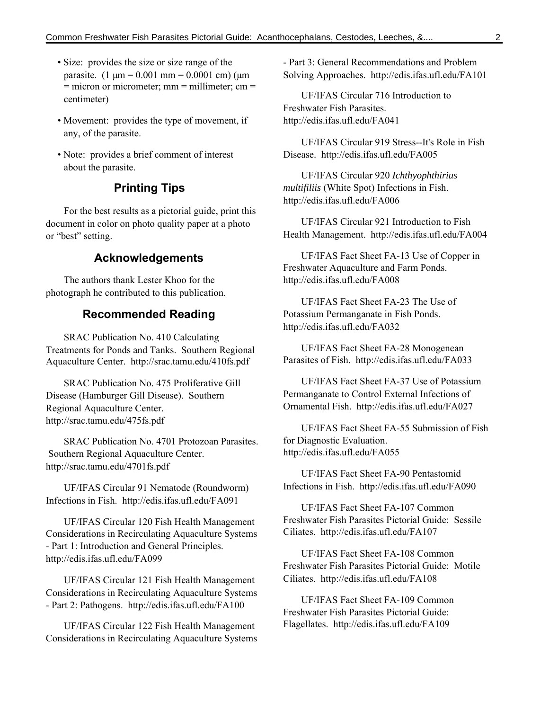- Size: provides the size or size range of the parasite.  $(1 \text{ µm} = 0.001 \text{ mm} = 0.0001 \text{ cm})$  ( $\text{µm}$ )  $=$  micron or micrometer; mm  $=$  millimeter; cm  $=$ centimeter)
- Movement: provides the type of movement, if any, of the parasite.
- Note: provides a brief comment of interest about the parasite.

#### **Printing Tips**

For the best results as a pictorial guide, print this document in color on photo quality paper at a photo or "best" setting.

#### **Acknowledgements**

The authors thank Lester Khoo for the photograph he contributed to this publication.

#### **Recommended Reading**

SRAC Publication No. 410 Calculating Treatments for Ponds and Tanks. Southern Regional Aquaculture Center. http://srac.tamu.edu/410fs.pdf

SRAC Publication No. 475 Proliferative Gill Disease (Hamburger Gill Disease). Southern Regional Aquaculture Center. http://srac.tamu.edu/475fs.pdf

SRAC Publication No. 4701 Protozoan Parasites. Southern Regional Aquaculture Center. http://srac.tamu.edu/4701fs.pdf

UF/IFAS Circular 91 Nematode (Roundworm) Infections in Fish. http://edis.ifas.ufl.edu/FA091

UF/IFAS Circular 120 Fish Health Management Considerations in Recirculating Aquaculture Systems - Part 1: Introduction and General Principles. http://edis.ifas.ufl.edu/FA099

UF/IFAS Circular 121 Fish Health Management Considerations in Recirculating Aquaculture Systems - Part 2: Pathogens. http://edis.ifas.ufl.edu/FA100

UF/IFAS Circular 122 Fish Health Management Considerations in Recirculating Aquaculture Systems - Part 3: General Recommendations and Problem Solving Approaches. http://edis.ifas.ufl.edu/FA101

UF/IFAS Circular 716 Introduction to Freshwater Fish Parasites. http://edis.ifas.ufl.edu/FA041

UF/IFAS Circular 919 Stress--It's Role in Fish Disease. http://edis.ifas.ufl.edu/FA005

UF/IFAS Circular 920 *Ichthyophthirius multifiliis* (White Spot) Infections in Fish. http://edis.ifas.ufl.edu/FA006

UF/IFAS Circular 921 Introduction to Fish Health Management. http://edis.ifas.ufl.edu/FA004

UF/IFAS Fact Sheet FA-13 Use of Copper in Freshwater Aquaculture and Farm Ponds. http://edis.ifas.ufl.edu/FA008

UF/IFAS Fact Sheet FA-23 The Use of Potassium Permanganate in Fish Ponds. http://edis.ifas.ufl.edu/FA032

UF/IFAS Fact Sheet FA-28 Monogenean Parasites of Fish. http://edis.ifas.ufl.edu/FA033

UF/IFAS Fact Sheet FA-37 Use of Potassium Permanganate to Control External Infections of Ornamental Fish. http://edis.ifas.ufl.edu/FA027

UF/IFAS Fact Sheet FA-55 Submission of Fish for Diagnostic Evaluation. http://edis.ifas.ufl.edu/FA055

UF/IFAS Fact Sheet FA-90 Pentastomid Infections in Fish. http://edis.ifas.ufl.edu/FA090

UF/IFAS Fact Sheet FA-107 Common Freshwater Fish Parasites Pictorial Guide: Sessile Ciliates. http://edis.ifas.ufl.edu/FA107

UF/IFAS Fact Sheet FA-108 Common Freshwater Fish Parasites Pictorial Guide: Motile Ciliates. http://edis.ifas.ufl.edu/FA108

UF/IFAS Fact Sheet FA-109 Common Freshwater Fish Parasites Pictorial Guide: Flagellates. http://edis.ifas.ufl.edu/FA109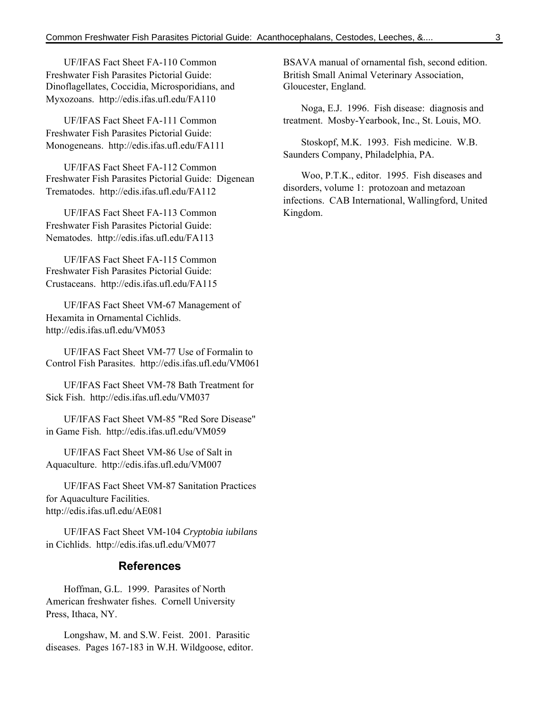UF/IFAS Fact Sheet FA-110 Common Freshwater Fish Parasites Pictorial Guide: Dinoflagellates, Coccidia, Microsporidians, and Myxozoans. http://edis.ifas.ufl.edu/FA110

UF/IFAS Fact Sheet FA-111 Common Freshwater Fish Parasites Pictorial Guide: Monogeneans. http://edis.ifas.ufl.edu/FA111

UF/IFAS Fact Sheet FA-112 Common Freshwater Fish Parasites Pictorial Guide: Digenean Trematodes. http://edis.ifas.ufl.edu/FA112

UF/IFAS Fact Sheet FA-113 Common Freshwater Fish Parasites Pictorial Guide: Nematodes. http://edis.ifas.ufl.edu/FA113

UF/IFAS Fact Sheet FA-115 Common Freshwater Fish Parasites Pictorial Guide: Crustaceans. http://edis.ifas.ufl.edu/FA115

UF/IFAS Fact Sheet VM-67 Management of Hexamita in Ornamental Cichlids. http://edis.ifas.ufl.edu/VM053

UF/IFAS Fact Sheet VM-77 Use of Formalin to Control Fish Parasites. http://edis.ifas.ufl.edu/VM061

UF/IFAS Fact Sheet VM-78 Bath Treatment for Sick Fish. http://edis.ifas.ufl.edu/VM037

UF/IFAS Fact Sheet VM-85 "Red Sore Disease" in Game Fish. http://edis.ifas.ufl.edu/VM059

UF/IFAS Fact Sheet VM-86 Use of Salt in Aquaculture. http://edis.ifas.ufl.edu/VM007

UF/IFAS Fact Sheet VM-87 Sanitation Practices for Aquaculture Facilities. http://edis.ifas.ufl.edu/AE081

UF/IFAS Fact Sheet VM-104 *Cryptobia iubilans* in Cichlids. http://edis.ifas.ufl.edu/VM077

#### **References**

Hoffman, G.L. 1999. Parasites of North American freshwater fishes. Cornell University Press, Ithaca, NY.

Longshaw, M. and S.W. Feist. 2001. Parasitic diseases. Pages 167-183 in W.H. Wildgoose, editor. BSAVA manual of ornamental fish, second edition. British Small Animal Veterinary Association, Gloucester, England.

Noga, E.J. 1996. Fish disease: diagnosis and treatment. Mosby-Yearbook, Inc., St. Louis, MO.

Stoskopf, M.K. 1993. Fish medicine. W.B. Saunders Company, Philadelphia, PA.

Woo, P.T.K., editor. 1995. Fish diseases and disorders, volume 1: protozoan and metazoan infections. CAB International, Wallingford, United Kingdom.